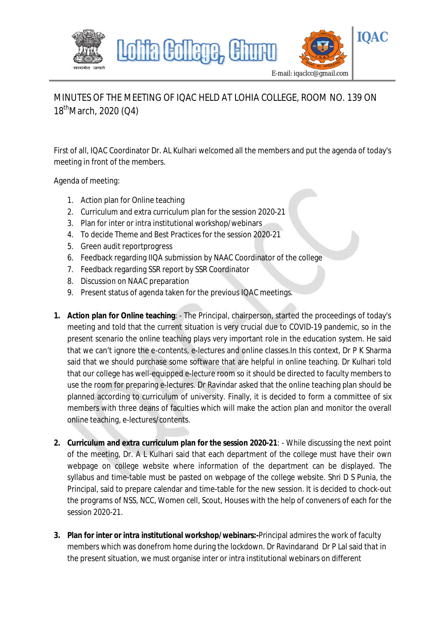

## MINUTES OF THE MEETING OF IQAC HELD AT LOHIA COLLEGE, ROOM NO. 139 ON 18<sup>th</sup>March, 2020 (Q4)

First of all, IQAC Coordinator Dr. AL Kulhari welcomed all the members and put the agenda of today's meeting in front of the members.

Agenda of meeting:

- 1. Action plan for Online teaching
- 2. Curriculum and extra curriculum plan for the session 2020-21
- 3. Plan for inter or intra institutional workshop/webinars
- 4. To decide Theme and Best Practices for the session 2020-21
- 5. Green audit reportprogress
- 6. Feedback regarding IIQA submission by NAAC Coordinator of the college
- 7. Feedback regarding SSR report by SSR Coordinator
- 8. Discussion on NAAC preparation
- 9. Present status of agenda taken for the previous IQAC meetings.
- **1. Action plan for Online teaching**: The Principal, chairperson, started the proceedings of today's meeting and told that the current situation is very crucial due to COVID-19 pandemic, so in the present scenario the online teaching plays very important role in the education system. He said that we can't ignore the e-contents, e-lectures and online classes.In this context, Dr P K Sharma said that we should purchase some software that are helpful in online teaching. Dr Kulhari told that our college has well-equipped e-lecture room so it should be directed to faculty members to use the room for preparing e-lectures. Dr Ravindar asked that the online teaching plan should be planned according to curriculum of university. Finally, it is decided to form a committee of six members with three deans of faculties which will make the action plan and monitor the overall online teaching, e-lectures/contents.
- **2. Curriculum and extra curriculum plan for the session 2020-21**: While discussing the next point of the meeting, Dr. A L Kulhari said that each department of the college must have their own webpage on college website where information of the department can be displayed. The syllabus and time-table must be pasted on webpage of the college website. Shri D S Punia, the Principal, said to prepare calendar and time-table for the new session. It is decided to chock-out the programs of NSS, NCC, Women cell, Scout, Houses with the help of conveners of each for the session 2020-21.
- **3. Plan for inter or intra institutional workshop/webinars:-**Principal admires the work of faculty members which was donefrom home during the lockdown. Dr Ravindarand Dr P Lal said that in the present situation, we must organise inter or intra institutional webinars on different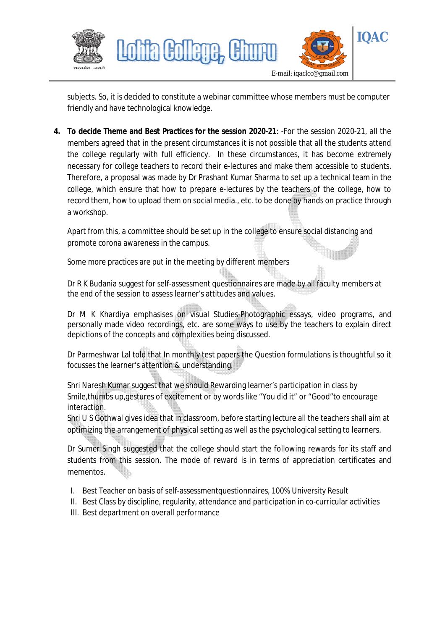

subjects. So, it is decided to constitute a webinar committee whose members must be computer friendly and have technological knowledge.

**4. To decide Theme and Best Practices for the session 2020-21**: -For the session 2020-21, all the members agreed that in the present circumstances it is not possible that all the students attend the college regularly with full efficiency. In these circumstances, it has become extremely necessary for college teachers to record their e-lectures and make them accessible to students. Therefore, a proposal was made by Dr Prashant Kumar Sharma to set up a technical team in the college, which ensure that how to prepare e-lectures by the teachers of the college, how to record them, how to upload them on social media., etc. to be done by hands on practice through a workshop.

Apart from this, a committee should be set up in the college to ensure social distancing and promote corona awareness in the campus.

Some more practices are put in the meeting by different members

Dr R K Budania suggest for self-assessment questionnaires are made by all faculty members at the end of the session to assess learner's attitudes and values.

Dr M K Khardiya emphasises on visual Studies-Photographic essays, video programs, and personally made video recordings, etc. are some ways to use by the teachers to explain direct depictions of the concepts and complexities being discussed.

Dr Parmeshwar Lal told that In monthly test papers the Question formulations is thoughtful so it focusses the learner's attention & understanding.

Shri Naresh Kumar suggest that we should Rewarding learner's participation in class by Smile,thumbs up,gestures of excitement or by words like "You did it" or "Good"to encourage interaction.

Shri U S Gothwal gives idea that in classroom, before starting lecture all the teachers shall aim at optimizing the arrangement of physical setting as well as the psychological setting to learners.

Dr Sumer Singh suggested that the college should start the following rewards for its staff and students from this session. The mode of reward is in terms of appreciation certificates and mementos.

- I. Best Teacher on basis of self-assessmentquestionnaires, 100% University Result
- II. Best Class by discipline, regularity, attendance and participation in co-curricular activities
- III. Best department on overall performance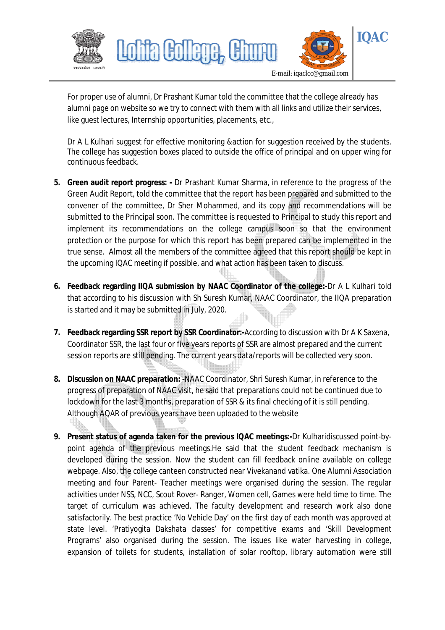

For proper use of alumni, Dr Prashant Kumar told the committee that the college already has alumni page on website so we try to connect with them with all links and utilize their services, like guest lectures, Internship opportunities, placements, etc.,

Dr A L Kulhari suggest for effective monitoring &action for suggestion received by the students. The college has suggestion boxes placed to outside the office of principal and on upper wing for continuous feedback.

- **5. Green audit report progress: -** Dr Prashant Kumar Sharma, in reference to the progress of the Green Audit Report, told the committee that the report has been prepared and submitted to the convener of the committee, Dr Sher Mohammed, and its copy and recommendations will be submitted to the Principal soon. The committee is requested to Principal to study this report and implement its recommendations on the college campus soon so that the environment protection or the purpose for which this report has been prepared can be implemented in the true sense. Almost all the members of the committee agreed that this report should be kept in the upcoming IQAC meeting if possible, and what action has been taken to discuss.
- **6. Feedback regarding IIQA submission by NAAC Coordinator of the college:-**Dr A L Kulhari told that according to his discussion with Sh Suresh Kumar, NAAC Coordinator, the IIQA preparation is started and it may be submitted in July, 2020.
- **7. Feedback regarding SSR report by SSR Coordinator:-**According to discussion with Dr A K Saxena, Coordinator SSR, the last four or five years reports of SSR are almost prepared and the current session reports are still pending. The current years data/reports will be collected very soon.
- **8. Discussion on NAAC preparation: -**NAAC Coordinator, Shri Suresh Kumar, in reference to the progress of preparation of NAAC visit, he said that preparations could not be continued due to lockdown for the last 3 months, preparation of SSR & its final checking of it is still pending. Although AQAR of previous years have been uploaded to the website
- **9. Present status of agenda taken for the previous IQAC meetings:-**Dr Kulharidiscussed point-bypoint agenda of the previous meetings.He said that the student feedback mechanism is developed during the session. Now the student can fill feedback online available on college webpage. Also, the college canteen constructed near Vivekanand vatika. One Alumni Association meeting and four Parent- Teacher meetings were organised during the session. The regular activities under NSS, NCC, Scout Rover- Ranger, Women cell, Games were held time to time. The target of curriculum was achieved. The faculty development and research work also done satisfactorily. The best practice 'No Vehicle Day' on the first day of each month was approved at state level. 'Pratiyogita Dakshata classes' for competitive exams and 'Skill Development Programs' also organised during the session. The issues like water harvesting in college, expansion of toilets for students, installation of solar rooftop, library automation were still